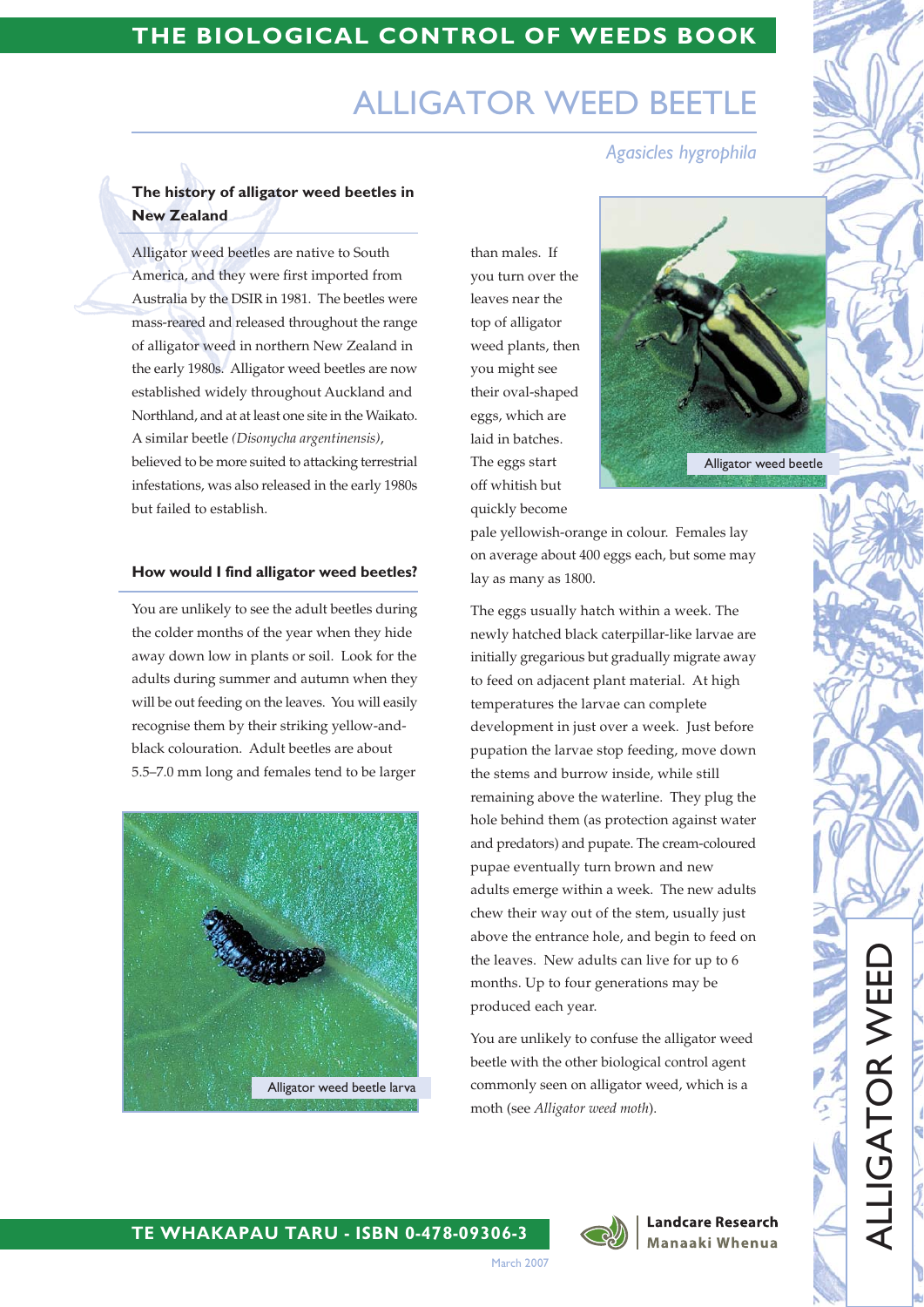# THE BIOLOGICAL CONTROL OF WEEDS BOOK

# **ALLIGATOR WEED BEI**

Agasicles hygrophila

# The history of alligator weed beetles in **New Zealand**

Alligator weed beetles are native to South America, and they were first imported from Australia by the DSIR in 1981. The beetles were mass-reared and released throughout the range of alligator weed in northern New Zealand in the early 1980s. Alligator weed beetles are now established widely throughout Auckland and Northland, and at at least one site in the Waikato. A similar beetle (Disonycha argentinensis), believed to be more suited to attacking terrestrial

infestations, was also released in the early 1980s but failed to establish.

#### How would I find alligator weed beetles?

You are unlikely to see the adult beetles during the colder months of the year when they hide away down low in plants or soil. Look for the adults during summer and autumn when they will be out feeding on the leaves. You will easily recognise them by their striking yellow-andblack colouration. Adult beetles are about 5.5-7.0 mm long and females tend to be larger



than males. If vou turn over the leaves near the top of alligator weed plants, then you might see their oval-shaped eggs, which are laid in batches. The eggs start off whitish but quickly become



pale yellowish-orange in colour. Females lay on average about 400 eggs each, but some may lay as many as 1800.

The eggs usually hatch within a week. The newly hatched black caterpillar-like larvae are initially gregarious but gradually migrate away to feed on adjacent plant material. At high temperatures the larvae can complete development in just over a week. Just before pupation the larvae stop feeding, move down the stems and burrow inside, while still remaining above the waterline. They plug the hole behind them (as protection against water and predators) and pupate. The cream-coloured pupae eventually turn brown and new adults emerge within a week. The new adults chew their way out of the stem, usually just above the entrance hole, and begin to feed on the leaves. New adults can live for up to 6 months. Up to four generations may be produced each year.

You are unlikely to confuse the alligator weed beetle with the other biological control agent commonly seen on alligator weed, which is a moth (see Alligator weed moth).



#### **Landcare Research** Manaaki Whenua

ALLIGATOR WEEI

### TE WHAKAPAU TARU - ISBN 0-478-09306-3